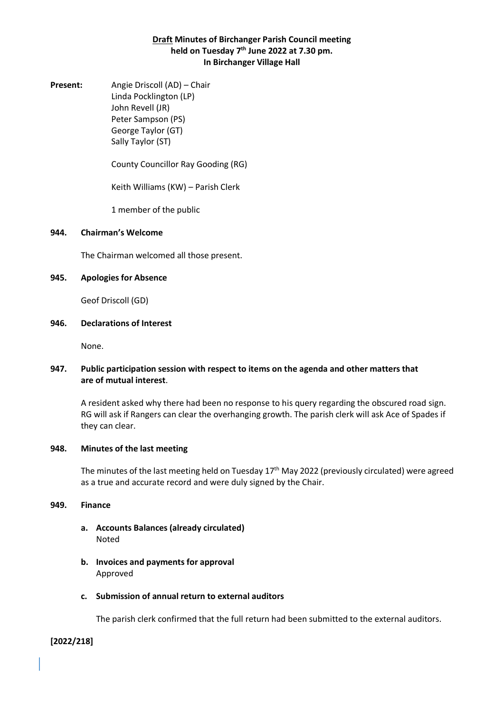# **Draft Minutes of Birchanger Parish Council meeting held on Tuesday 7 th June 2022 at 7.30 pm. In Birchanger Village Hall**

**Present:** Angie Driscoll (AD) – Chair Linda Pocklington (LP) John Revell (JR) Peter Sampson (PS) George Taylor (GT) Sally Taylor (ST)

County Councillor Ray Gooding (RG)

Keith Williams (KW) – Parish Clerk

1 member of the public

#### **944. Chairman's Welcome**

The Chairman welcomed all those present.

### **945. Apologies for Absence**

Geof Driscoll (GD)

#### **946. Declarations of Interest**

None.

# **947. Public participation session with respect to items on the agenda and other matters that are of mutual interest**.

A resident asked why there had been no response to his query regarding the obscured road sign. RG will ask if Rangers can clear the overhanging growth. The parish clerk will ask Ace of Spades if they can clear.

### **948. Minutes of the last meeting**

The minutes of the last meeting held on Tuesday  $17<sup>th</sup>$  May 2022 (previously circulated) were agreed as a true and accurate record and were duly signed by the Chair.

#### **949. Finance**

- **a. Accounts Balances (already circulated)** Noted
- **b. Invoices and payments for approval** Approved
- **c. Submission of annual return to external auditors**

The parish clerk confirmed that the full return had been submitted to the external auditors.

#### **[2022/218]**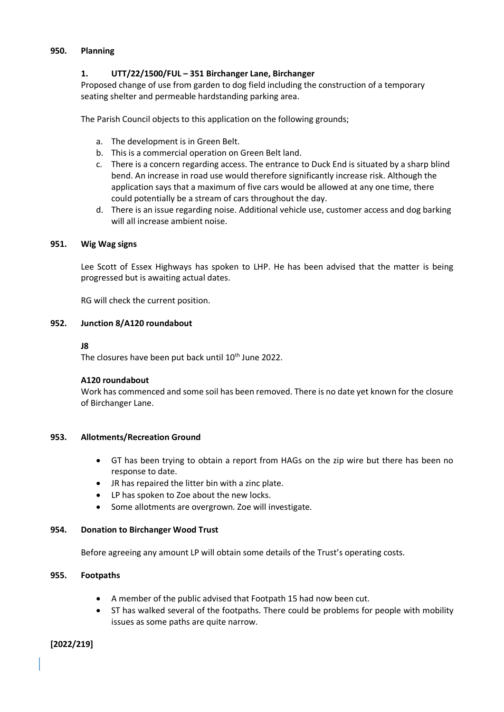### **950. Planning**

# **1. UTT/22/1500/FUL – 351 Birchanger Lane, Birchanger**

Proposed change of use from garden to dog field including the construction of a temporary seating shelter and permeable hardstanding parking area.

The Parish Council objects to this application on the following grounds;

- a. The development is in Green Belt.
- b. This is a commercial operation on Green Belt land.
- c. There is a concern regarding access. The entrance to Duck End is situated by a sharp blind bend. An increase in road use would therefore significantly increase risk. Although the application says that a maximum of five cars would be allowed at any one time, there could potentially be a stream of cars throughout the day.
- d. There is an issue regarding noise. Additional vehicle use, customer access and dog barking will all increase ambient noise.

### **951. Wig Wag signs**

Lee Scott of Essex Highways has spoken to LHP. He has been advised that the matter is being progressed but is awaiting actual dates.

RG will check the current position.

### **952. Junction 8/A120 roundabout**

### **J8**

The closures have been put back until 10<sup>th</sup> June 2022.

# **A120 roundabout**

Work has commenced and some soil has been removed. There is no date yet known for the closure of Birchanger Lane.

# **953. Allotments/Recreation Ground**

- GT has been trying to obtain a report from HAGs on the zip wire but there has been no response to date.
- JR has repaired the litter bin with a zinc plate.
- LP has spoken to Zoe about the new locks.
- Some allotments are overgrown. Zoe will investigate.

# **954. Donation to Birchanger Wood Trust**

Before agreeing any amount LP will obtain some details of the Trust's operating costs.

# **955. Footpaths**

- A member of the public advised that Footpath 15 had now been cut.
- ST has walked several of the footpaths. There could be problems for people with mobility issues as some paths are quite narrow.

# **[2022/219]**